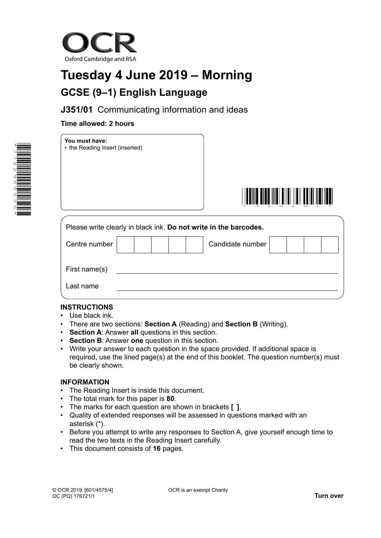

# **Tuesday 4 June 2019 – Morning GCSE (9–1) English Language**

**J351/01** Communicating information and ideas

## **Time allowed: 2 hours**







| Please write clearly in black ink. Do not write in the barcodes. |  |  |  |  |  |                  |  |  |
|------------------------------------------------------------------|--|--|--|--|--|------------------|--|--|
| Centre number                                                    |  |  |  |  |  | Candidate number |  |  |
| First name(s)                                                    |  |  |  |  |  |                  |  |  |
| Last name                                                        |  |  |  |  |  |                  |  |  |

## **INSTRUCTIONS**

- Use black ink.
- There are two sections: **Section A** (Reading) and **Section B** (Writing).
- **Section A**: Answer **all** questions in this section.
- **Section B:** Answer one question in this section.
- Write your answer to each question in the space provided. If additional space is required, use the lined page(s) at the end of this booklet. The question number(s) must be clearly shown.

### **INFORMATION**

- The Reading Insert is inside this document.
- The total mark for this paper is **80**.
- The marks for each question are shown in brackets **[ ]**.
- Quality of extended responses will be assessed in questions marked with an asterisk (\*).
- Before you attempt to write any responses to Section A, give yourself enough time to read the two texts in the Reading Insert carefully.
- This document consists of **16** pages.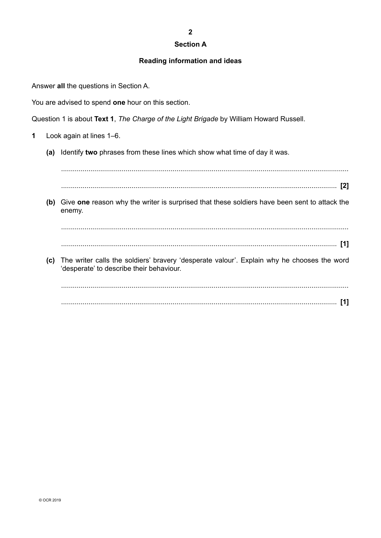#### **Section A**

#### **Reading information and ideas**

Answer **all** the questions in Section A.

You are advised to spend **one** hour on this section.

Question 1 is about **Text 1**, *The Charge of the Light Brigade* by William Howard Russell.

- **1** Look again at lines 1–6.
	- **(a)** Identify **two** phrases from these lines which show what time of day it was.

...................................................................................................................................................

............................................................................................................................................. **[2]**

**(b)** Give **one** reason why the writer is surprised that these soldiers have been sent to attack the enemy.

................................................................................................................................................... ............................................................................................................................................. **[1]**

**(c)** The writer calls the soldiers' bravery 'desperate valour'. Explain why he chooses the word 'desperate' to describe their behaviour.

................................................................................................................................................... ............................................................................................................................................. **[1]**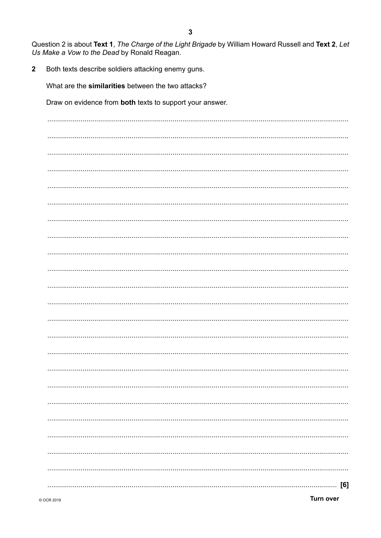Question 2 is about Text 1, The Charge of the Light Brigade by William Howard Russell and Text 2, Let Us Make a Vow to the Dead by Ronald Reagan.

Both texts describe soldiers attacking enemy guns.  $\overline{2}$ 

What are the similarities between the two attacks?

Draw on evidence from both texts to support your answer.

| [6]<br>. |
|----------|

**Turn over**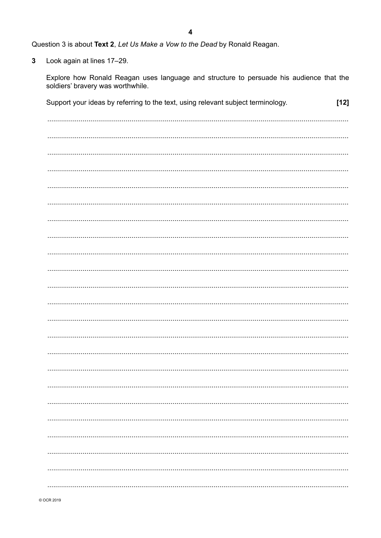Question 3 is about Text 2, Let Us Make a Vow to the Dead by Ronald Reagan.

 $\overline{3}$ Look again at lines 17-29.

> Explore how Ronald Reagan uses language and structure to persuade his audience that the soldiers' bravery was worthwhile.

| Support your ideas by referring to the text, using relevant subject terminology. | $[12]$ |
|----------------------------------------------------------------------------------|--------|
|                                                                                  |        |
|                                                                                  |        |
|                                                                                  |        |
|                                                                                  |        |
|                                                                                  |        |
|                                                                                  |        |
|                                                                                  |        |
|                                                                                  |        |
|                                                                                  |        |
|                                                                                  |        |
|                                                                                  |        |
|                                                                                  |        |
|                                                                                  |        |
|                                                                                  |        |
|                                                                                  |        |
|                                                                                  |        |
|                                                                                  |        |
|                                                                                  |        |
|                                                                                  |        |
|                                                                                  |        |
|                                                                                  |        |
|                                                                                  |        |
|                                                                                  |        |
|                                                                                  |        |
|                                                                                  |        |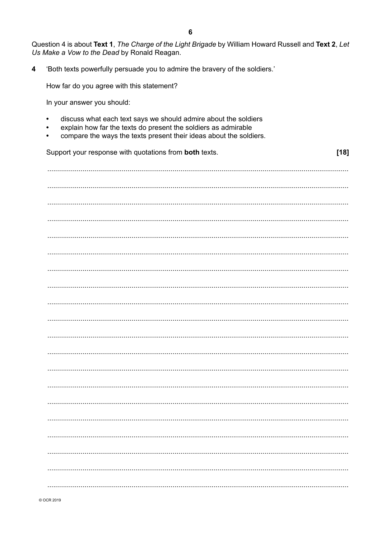|                                             | Question 4 is about Text 1, The Charge of the Light Brigade by William Howard Russell and Text 2, Let |  |
|---------------------------------------------|-------------------------------------------------------------------------------------------------------|--|
| Us Make a Vow to the Dead by Ronald Reagan. |                                                                                                       |  |

 $[18]$ 

 $\overline{\mathbf{4}}$ 'Both texts powerfully persuade you to admire the bravery of the soldiers.'

How far do you agree with this statement?

In your answer you should:

- discuss what each text says we should admire about the soldiers  $\bullet$
- explain how far the texts do present the soldiers as admirable  $\bullet$
- compare the ways the texts present their ideas about the soldiers.  $\bullet$

Support your response with quotations from both texts.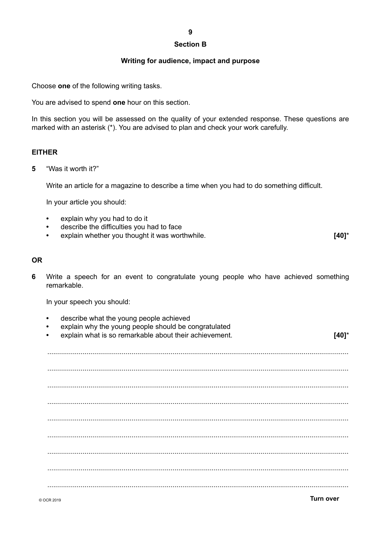#### **Section B**

#### **Writing for audience, impact and purpose**

Choose **one** of the following writing tasks.

You are advised to spend **one** hour on this section.

In this section you will be assessed on the quality of your extended response. These questions are marked with an asterisk (\*). You are advised to plan and check your work carefully.

### **EITHER**

**5** "Was it worth it?"

Write an article for a magazine to describe a time when you had to do something difficult.

In your article you should:

- **•** explain why you had to do it
- **•** describe the difficulties you had to face
- **•** explain whether you thought it was worthwhile. **[40]**\*

#### **OR**

**6** Write a speech for an event to congratulate young people who have achieved something remarkable.

In your speech you should:

**•** describe what the young people achieved **•** explain why the young people should be congratulated **•** explain what is so remarkable about their achievement. **[40]**\* .......................................................................................................................................................... .......................................................................................................................................................... .......................................................................................................................................................... .......................................................................................................................................................... .......................................................................................................................................................... .......................................................................................................................................................... .......................................................................................................................................................... .......................................................................................................................................................... ..........................................................................................................................................................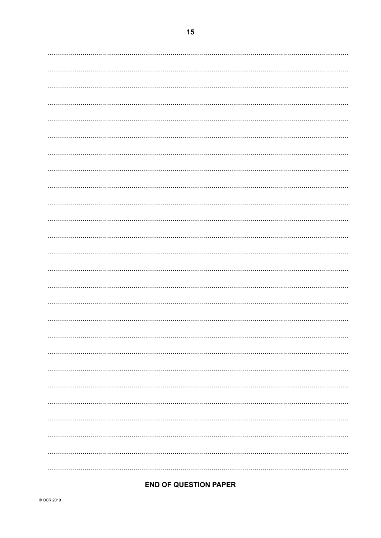## **END OF QUESTION PAPER**